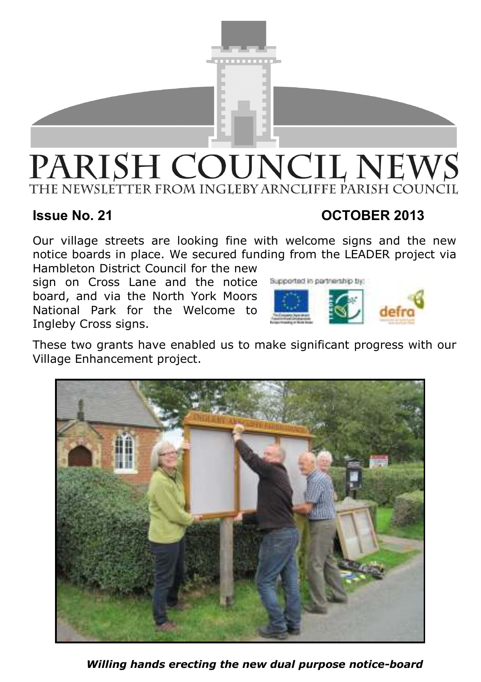

# PARISH COUNCIL NEWS THE NEWSLETTER FROM INGLEBY ARNCLIFFE PARISH COUNCIL

# **Issue No. 21 OCTOBER 2013**

Our village streets are looking fine with welcome signs and the new notice boards in place. We secured funding from the LEADER project via Hambleton District Council for the new

sign on Cross Lane and the notice board, and via the North York Moors National Park for the Welcome to Ingleby Cross signs.



These two grants have enabled us to make significant progress with our Village Enhancement project.



*Willing hands erecting the new dual purpose notice-board*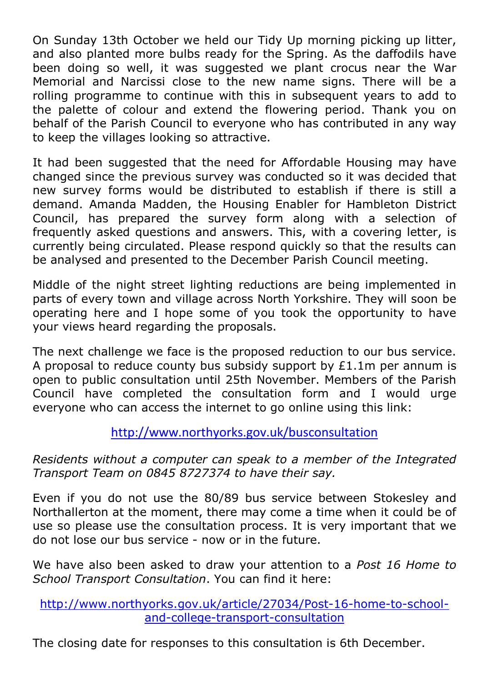On Sunday 13th October we held our Tidy Up morning picking up litter, and also planted more bulbs ready for the Spring. As the daffodils have been doing so well, it was suggested we plant crocus near the War Memorial and Narcissi close to the new name signs. There will be a rolling programme to continue with this in subsequent years to add to the palette of colour and extend the flowering period. Thank you on behalf of the Parish Council to everyone who has contributed in any way to keep the villages looking so attractive.

It had been suggested that the need for Affordable Housing may have changed since the previous survey was conducted so it was decided that new survey forms would be distributed to establish if there is still a demand. Amanda Madden, the Housing Enabler for Hambleton District Council, has prepared the survey form along with a selection of frequently asked questions and answers. This, with a covering letter, is currently being circulated. Please respond quickly so that the results can be analysed and presented to the December Parish Council meeting.

Middle of the night street lighting reductions are being implemented in parts of every town and village across North Yorkshire. They will soon be operating here and I hope some of you took the opportunity to have your views heard regarding the proposals.

The next challenge we face is the proposed reduction to our bus service. A proposal to reduce county bus subsidy support by  $£1.1m$  per annum is open to public consultation until 25th November. Members of the Parish Council have completed the consultation form and I would urge everyone who can access the internet to go online using this link:

http://www.northyorks.gov.uk/busconsultation

*Residents without a computer can speak to a member of the Integrated Transport Team on 0845 8727374 to have their say.*

Even if you do not use the 80/89 bus service between Stokesley and Northallerton at the moment, there may come a time when it could be of use so please use the consultation process. It is very important that we do not lose our bus service - now or in the future.

We have also been asked to draw your attention to a *Post 16 Home to School Transport Consultation*. You can find it here:

http://www.northyorks.gov.uk/article/27034/Post-16-home-to-schooland-college-transport-consultation

The closing date for responses to this consultation is 6th December.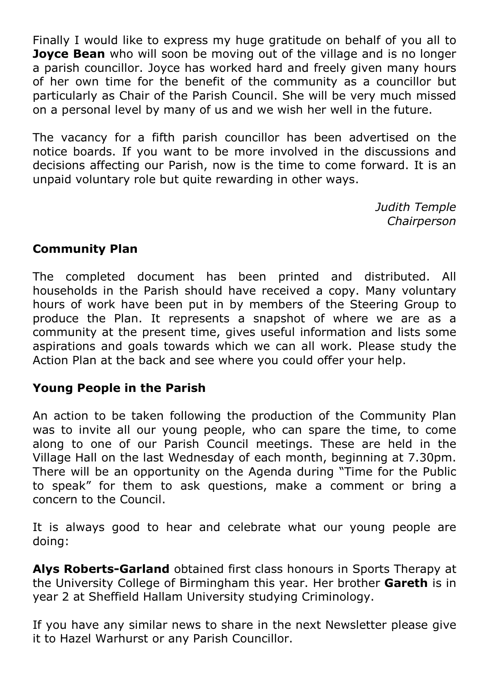Finally I would like to express my huge gratitude on behalf of you all to **Joyce Bean** who will soon be moving out of the village and is no longer a parish councillor. Joyce has worked hard and freely given many hours of her own time for the benefit of the community as a councillor but particularly as Chair of the Parish Council. She will be very much missed on a personal level by many of us and we wish her well in the future.

The vacancy for a fifth parish councillor has been advertised on the notice boards. If you want to be more involved in the discussions and decisions affecting our Parish, now is the time to come forward. It is an unpaid voluntary role but quite rewarding in other ways.

> *Judith Temple Chairperson*

### **Community Plan**

The completed document has been printed and distributed. All households in the Parish should have received a copy. Many voluntary hours of work have been put in by members of the Steering Group to produce the Plan. It represents a snapshot of where we are as a community at the present time, gives useful information and lists some aspirations and goals towards which we can all work. Please study the Action Plan at the back and see where you could offer your help.

### **Young People in the Parish**

An action to be taken following the production of the Community Plan was to invite all our young people, who can spare the time, to come along to one of our Parish Council meetings. These are held in the Village Hall on the last Wednesday of each month, beginning at 7.30pm. There will be an opportunity on the Agenda during "Time for the Public to speak" for them to ask questions, make a comment or bring a concern to the Council.

It is always good to hear and celebrate what our young people are doing:

**Alys Roberts-Garland** obtained first class honours in Sports Therapy at the University College of Birmingham this year. Her brother **Gareth** is in year 2 at Sheffield Hallam University studying Criminology.

If you have any similar news to share in the next Newsletter please give it to Hazel Warhurst or any Parish Councillor.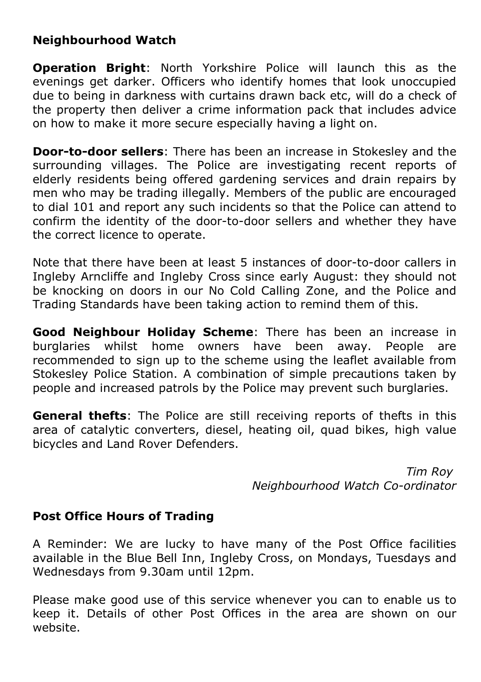# **Neighbourhood Watch**

**Operation Bright**: North Yorkshire Police will launch this as the evenings get darker. Officers who identify homes that look unoccupied due to being in darkness with curtains drawn back etc, will do a check of the property then deliver a crime information pack that includes advice on how to make it more secure especially having a light on.

**Door-to-door sellers**: There has been an increase in Stokesley and the surrounding villages. The Police are investigating recent reports of elderly residents being offered gardening services and drain repairs by men who may be trading illegally. Members of the public are encouraged to dial 101 and report any such incidents so that the Police can attend to confirm the identity of the door-to-door sellers and whether they have the correct licence to operate.

Note that there have been at least 5 instances of door-to-door callers in Ingleby Arncliffe and Ingleby Cross since early August: they should not be knocking on doors in our No Cold Calling Zone, and the Police and Trading Standards have been taking action to remind them of this.

**Good Neighbour Holiday Scheme**: There has been an increase in burglaries whilst home owners have been away. People are recommended to sign up to the scheme using the leaflet available from Stokesley Police Station. A combination of simple precautions taken by people and increased patrols by the Police may prevent such burglaries.

**General thefts**: The Police are still receiving reports of thefts in this area of catalytic converters, diesel, heating oil, quad bikes, high value bicycles and Land Rover Defenders.

> *Tim Roy Neighbourhood Watch Co-ordinator*

### **Post Office Hours of Trading**

A Reminder: We are lucky to have many of the Post Office facilities available in the Blue Bell Inn, Ingleby Cross, on Mondays, Tuesdays and Wednesdays from 9.30am until 12pm.

Please make good use of this service whenever you can to enable us to keep it. Details of other Post Offices in the area are shown on our website.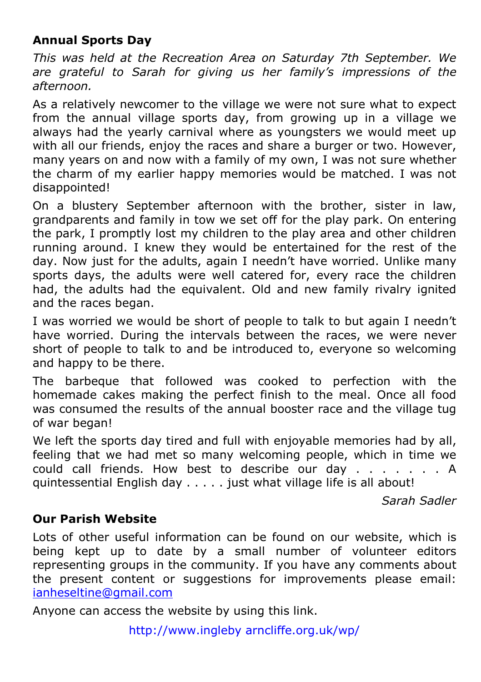# **Annual Sports Day**

*This was held at the Recreation Area on Saturday 7th September. We are grateful to Sarah for giving us her family's impressions of the afternoon.*

As a relatively newcomer to the village we were not sure what to expect from the annual village sports day, from growing up in a village we always had the yearly carnival where as youngsters we would meet up with all our friends, enjoy the races and share a burger or two. However, many years on and now with a family of my own, I was not sure whether the charm of my earlier happy memories would be matched. I was not disappointed!

On a blustery September afternoon with the brother, sister in law, grandparents and family in tow we set off for the play park. On entering the park, I promptly lost my children to the play area and other children running around. I knew they would be entertained for the rest of the day. Now just for the adults, again I needn't have worried. Unlike many sports days, the adults were well catered for, every race the children had, the adults had the equivalent. Old and new family rivalry ignited and the races began.

I was worried we would be short of people to talk to but again I needn't have worried. During the intervals between the races, we were never short of people to talk to and be introduced to, everyone so welcoming and happy to be there.

The barbeque that followed was cooked to perfection with the homemade cakes making the perfect finish to the meal. Once all food was consumed the results of the annual booster race and the village tug of war began!

We left the sports day tired and full with enjoyable memories had by all, feeling that we had met so many welcoming people, which in time we could call friends. How best to describe our day . . . . . . . A quintessential English day . . . . . just what village life is all about!

*Sarah Sadler* 

# **Our Parish Website**

Lots of other useful information can be found on our website, which is being kept up to date by a small number of volunteer editors representing groups in the community. If you have any comments about the present content or suggestions for improvements please email: ianheseltine@gmail.com

Anyone can access the website by using this link.

http://www.ingleby arncliffe.org.uk/wp/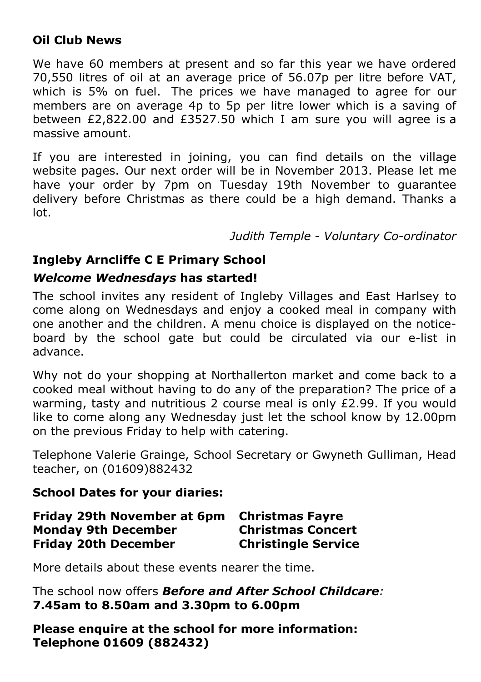# **Oil Club News**

We have 60 members at present and so far this year we have ordered 70,550 litres of oil at an average price of 56.07p per litre before VAT, which is 5% on fuel. The prices we have managed to agree for our members are on average 4p to 5p per litre lower which is a saving of between  $£2.822.00$  and  $£3527.50$  which I am sure you will agree is a massive amount.

If you are interested in joining, you can find details on the village website pages. Our next order will be in November 2013. Please let me have your order by 7pm on Tuesday 19th November to guarantee delivery before Christmas as there could be a high demand. Thanks a lot.

*Judith Temple - Voluntary Co-ordinator*

# **Ingleby Arncliffe C E Primary School**

### *Welcome Wednesdays* **has started!**

The school invites any resident of Ingleby Villages and East Harlsey to come along on Wednesdays and enjoy a cooked meal in company with one another and the children. A menu choice is displayed on the noticeboard by the school gate but could be circulated via our e-list in advance.

Why not do your shopping at Northallerton market and come back to a cooked meal without having to do any of the preparation? The price of a warming, tasty and nutritious 2 course meal is only £2.99. If you would like to come along any Wednesday just let the school know by 12.00pm on the previous Friday to help with catering.

Telephone Valerie Grainge, School Secretary or Gwyneth Gulliman, Head teacher, on (01609)882432

### **School Dates for your diaries:**

| Friday 29th November at 6pm Christmas Fayre |                            |
|---------------------------------------------|----------------------------|
| <b>Monday 9th December</b>                  | <b>Christmas Concert</b>   |
| <b>Friday 20th December</b>                 | <b>Christingle Service</b> |

More details about these events nearer the time.

The school now offers *Before and After School Childcare:*  **7.45am to 8.50am and 3.30pm to 6.00pm**

**Please enquire at the school for more information: Telephone 01609 (882432)**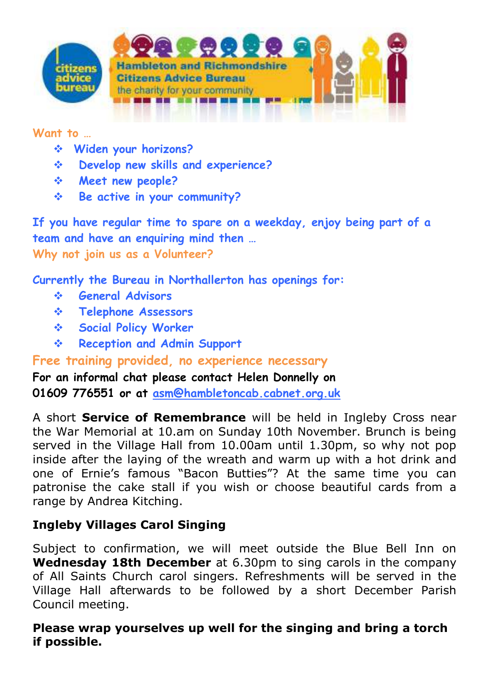



#### **Want to …**

- **Widen your horizons?**
- **Develop new skills and experience?**
- **Meet new people?**
- **Be active in your community?**

**If you have regular time to spare on a weekday, enjoy being part of a team and have an enquiring mind then … Why not join us as a Volunteer?**

**Currently the Bureau in Northallerton has openings for:** 

- **General Advisors**
- **Telephone Assessors**
- **Social Policy Worker**
- **Reception and Admin Support**

**Free training provided, no experience necessary** 

**For an informal chat please contact Helen Donnelly on 01609 776551 or at asm@hambletoncab.cabnet.org.uk**

A short **Service of Remembrance** will be held in Ingleby Cross near the War Memorial at 10.am on Sunday 10th November. Brunch is being served in the Village Hall from 10.00am until 1.30pm, so why not pop inside after the laying of the wreath and warm up with a hot drink and one of Ernie's famous "Bacon Butties"? At the same time you can patronise the cake stall if you wish or choose beautiful cards from a range by Andrea Kitching.

# **Ingleby Villages Carol Singing**

Subject to confirmation, we will meet outside the Blue Bell Inn on **Wednesday 18th December** at 6.30pm to sing carols in the company of All Saints Church carol singers. Refreshments will be served in the Village Hall afterwards to be followed by a short December Parish Council meeting.

# **Please wrap yourselves up well for the singing and bring a torch if possible.**